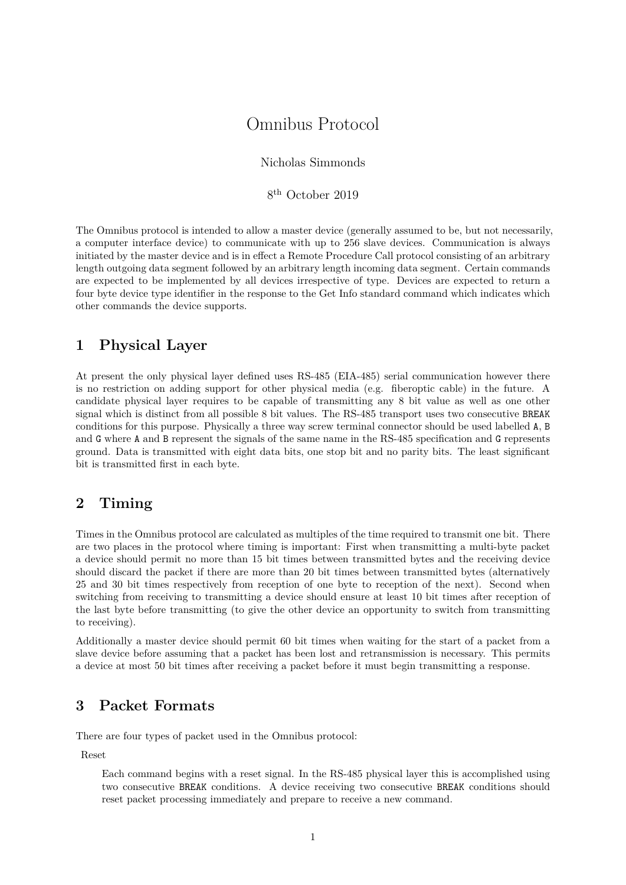# Omnibus Protocol

Nicholas Simmonds

8 th October 2019

The Omnibus protocol is intended to allow a master device (generally assumed to be, but not necessarily, a computer interface device) to communicate with up to 256 slave devices. Communication is always initiated by the master device and is in effect a Remote Procedure Call protocol consisting of an arbitrary length outgoing data segment followed by an arbitrary length incoming data segment. Certain commands are expected to be implemented by all devices irrespective of type. Devices are expected to return a four byte device type identifier in the response to the Get Info standard command which indicates which other commands the device supports.

### **1 Physical Layer**

At present the only physical layer defined uses RS-485 (EIA-485) serial communication however there is no restriction on adding support for other physical media (e.g. fiberoptic cable) in the future. A candidate physical layer requires to be capable of transmitting any 8 bit value as well as one other signal which is distinct from all possible 8 bit values. The RS-485 transport uses two consecutive BREAK conditions for this purpose. Physically a three way screw terminal connector should be used labelled A, B and G where A and B represent the signals of the same name in the RS-485 specification and G represents ground. Data is transmitted with eight data bits, one stop bit and no parity bits. The least significant bit is transmitted first in each byte.

## **2 Timing**

Times in the Omnibus protocol are calculated as multiples of the time required to transmit one bit. There are two places in the protocol where timing is important: First when transmitting a multi-byte packet a device should permit no more than 15 bit times between transmitted bytes and the receiving device should discard the packet if there are more than 20 bit times between transmitted bytes (alternatively 25 and 30 bit times respectively from reception of one byte to reception of the next). Second when switching from receiving to transmitting a device should ensure at least 10 bit times after reception of the last byte before transmitting (to give the other device an opportunity to switch from transmitting to receiving).

Additionally a master device should permit 60 bit times when waiting for the start of a packet from a slave device before assuming that a packet has been lost and retransmission is necessary. This permits a device at most 50 bit times after receiving a packet before it must begin transmitting a response.

### **3 Packet Formats**

There are four types of packet used in the Omnibus protocol:

Reset

Each command begins with a reset signal. In the RS-485 physical layer this is accomplished using two consecutive BREAK conditions. A device receiving two consecutive BREAK conditions should reset packet processing immediately and prepare to receive a new command.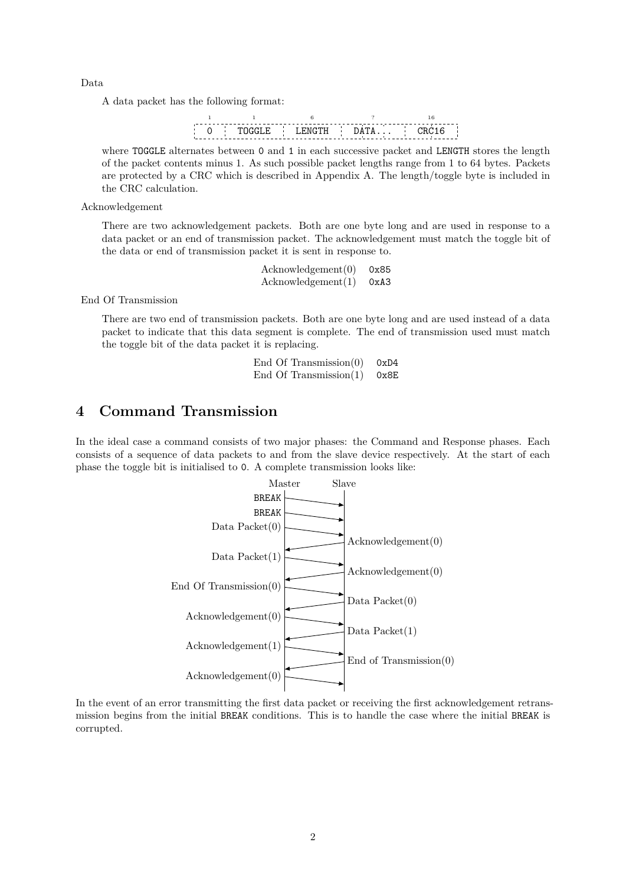Data

A data packet has the following format:

|  | . |  |
|--|---|--|

where TOGGLE alternates between 0 and 1 in each successive packet and LENGTH stores the length of the packet contents minus 1. As such possible packet lengths range from 1 to 64 bytes. Packets are protected by a CRC which is described in Appendix A. The length/toggle byte is included in the CRC calculation.

Acknowledgement

There are two acknowledgement packets. Bo[th are one by](#page-17-0)te long and are used in response to a data packet or an end of transmission packet. The acknowledgement must match the toggle bit of the data or end of transmission packet it is sent in response to.

> Acknowledgement(0) 0x85 Acknowledgement(1) 0xA3

End Of Transmission

There are two end of transmission packets. Both are one byte long and are used instead of a data packet to indicate that this data segment is complete. The end of transmission used must match the toggle bit of the data packet it is replacing.

| End Of Transmission $(0)$ | 0xD4 |
|---------------------------|------|
| End Of Transmission $(1)$ | 0x8E |

### **4 Command Transmission**

In the ideal case a command consists of two major phases: the Command and Response phases. Each consists of a sequence of data packets to and from the slave device respectively. At the start of each phase the toggle bit is initialised to 0. A complete transmission looks like:



In the event of an error transmitting the first data packet or receiving the first acknowledgement retransmission begins from the initial BREAK conditions. This is to handle the case where the initial BREAK is corrupted.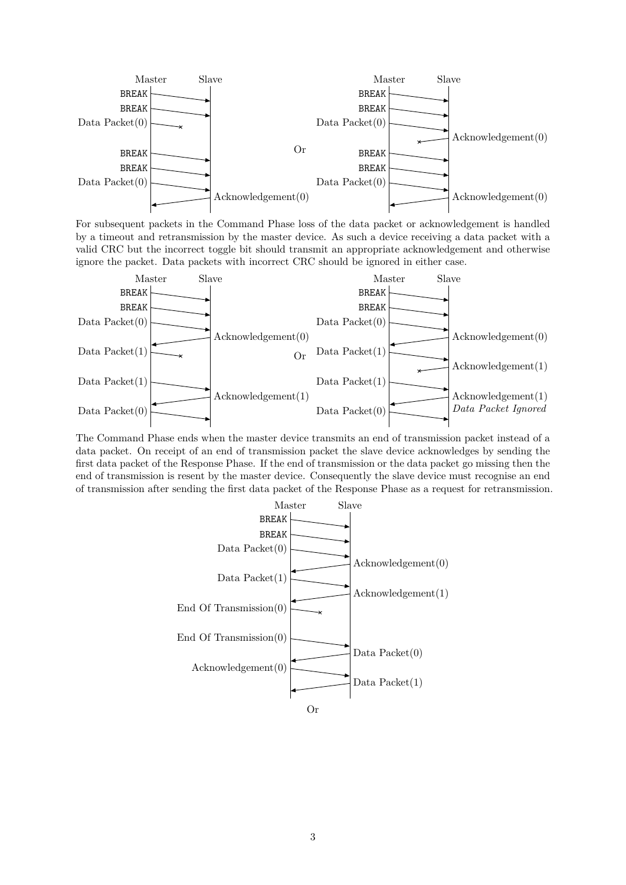

For subsequent packets in the Command Phase loss of the data packet or acknowledgement is handled by a timeout and retransmission by the master device. As such a device receiving a data packet with a valid CRC but the incorrect toggle bit should transmit an appropriate acknowledgement and otherwise ignore the packet. Data packets with incorrect CRC should be ignored in either case.



The Command Phase ends when the master device transmits an end of transmission packet instead of a data packet. On receipt of an end of transmission packet the slave device acknowledges by sending the first data packet of the Response Phase. If the end of transmission or the data packet go missing then the end of transmission is resent by the master device. Consequently the slave device must recognise an end of transmission after sending the first data packet of the Response Phase as a request for retransmission.

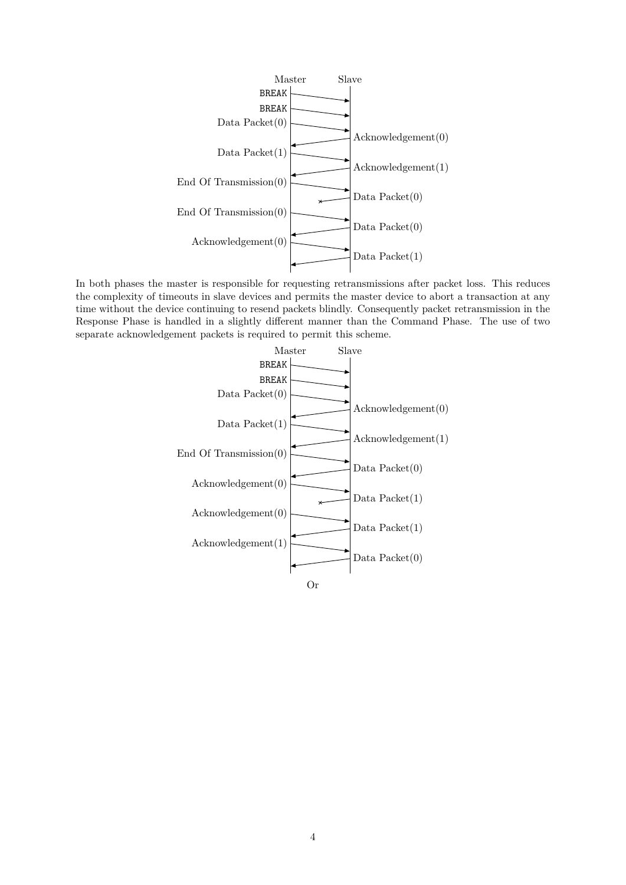

In both phases the master is responsible for requesting retransmissions after packet loss. This reduces the complexity of timeouts in slave devices and permits the master device to abort a transaction at any time without the device continuing to resend packets blindly. Consequently packet retransmission in the Response Phase is handled in a slightly different manner than the Command Phase. The use of two separate acknowledgement packets is required to permit this scheme.

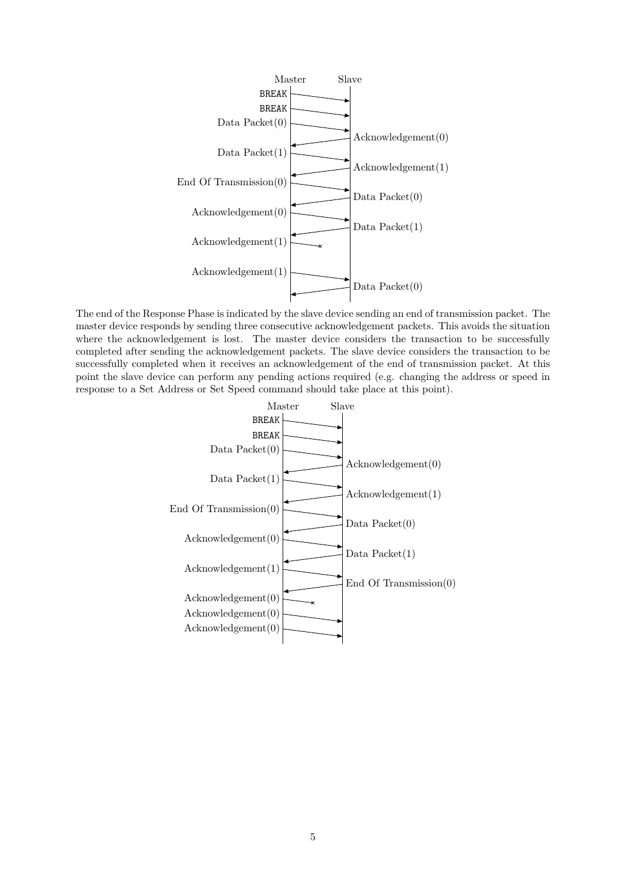

The end of the Response Phase is indicated by the slave device sending an end of transmission packet. The master device responds by sending three consecutive acknowledgement packets. This avoids the situation where the acknowledgement is lost. The master device considers the transaction to be successfully completed after sending the acknowledgement packets. The slave device considers the transaction to be successfully completed when it receives an acknowledgement of the end of transmission packet. At this point the slave device can perform any pending actions required (e.g. changing the address or speed in response to a Set Address or Set Speed command should take place at this point).

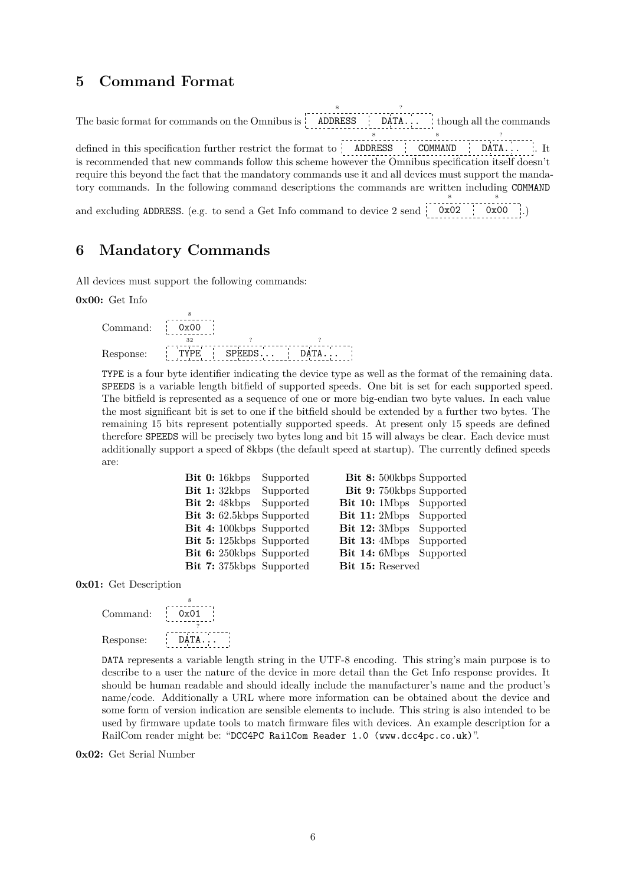## **5 Command Format**

The basic format for commands on the Omnibus is ADDRESS 8 DATA. ? though all the commands defined in this specification further restrict the format to ADDRESS 8 COMMAND 8  $\mathsf{DATA} \ldots$ ?  $\therefore$  It is recommended that new commands follow this scheme however the Omnibus specification itself doesn't require this beyond the fact that the mandatory commands use it and all devices must support the mandatory commands. In the following command descriptions the commands are written including COMMAND and excluding ADDRESS. (e.g. to send a Get Info command to device 2 send 0x02 8 0x00 8 .)

## **6 Mandatory Commands**

All devices must support the following commands:

**0x00:** Get Info

Command: 0x00 8 Response: TYPE  $rac{1}{32}$ **SPEEDS** ? **DATA** ?

TYPE is a four byte identifier indicating the device type as well as the format of the remaining data. SPEEDS is a variable length bitfield of supported speeds. One bit is set for each supported speed. The bitfield is represented as a sequence of one or more big-endian two byte values. In each value the most significant bit is set to one if the bitfield should be extended by a further two bytes. The remaining 15 bits represent potentially supported speeds. At present only 15 speeds are defined therefore SPEEDS will be precisely two bytes long and bit 15 will always be clear. Each device must additionally support a speed of 8kbps (the default speed at startup). The currently defined speeds are:

| Bit 0: 16kbps<br>Supported      |                |                  | <b>Bit 8:</b> 500kbps Supported |
|---------------------------------|----------------|------------------|---------------------------------|
| Bit 1: 32kbps<br>Supported      |                |                  | Bit 9: 750kbps Supported        |
| Bit 2: 48kbps<br>Supported      |                |                  | Bit 10: 1Mbps Supported         |
| Bit 3: 62.5kbps Supported       |                |                  | <b>Bit 11:</b> 2Mbps Supported  |
| <b>Bit 4:</b> 100kbps Supported | Bit $12:3Mbps$ |                  | Supported                       |
| Bit 5: 125kbps Supported        | Bit $13:4Mbps$ |                  | Supported                       |
| Bit 6: 250kbps Supported        |                |                  | <b>Bit 14:</b> 6Mbps Supported  |
| Bit 7: 375kbps Supported        |                | Bit 15: Reserved |                                 |
|                                 |                |                  |                                 |

**0x01:** Get Description

| Command:  | 0x01  |
|-----------|-------|
|           |       |
| Response: | DATA. |

DATA represents a variable length string in the UTF-8 encoding. This string's main purpose is to describe to a user the nature of the device in more detail than the Get Info response provides. It should be human readable and should ideally include the manufacturer's name and the product's name/code. Additionally a URL where more information can be obtained about the device and some form of version indication are sensible elements to include. This string is also intended to be used by firmware update tools to match firmware files with devices. An example description for a RailCom reader might be: "DCC4PC RailCom Reader 1.0 (www.dcc4pc.co.uk)".

**0x02:** Get Serial Number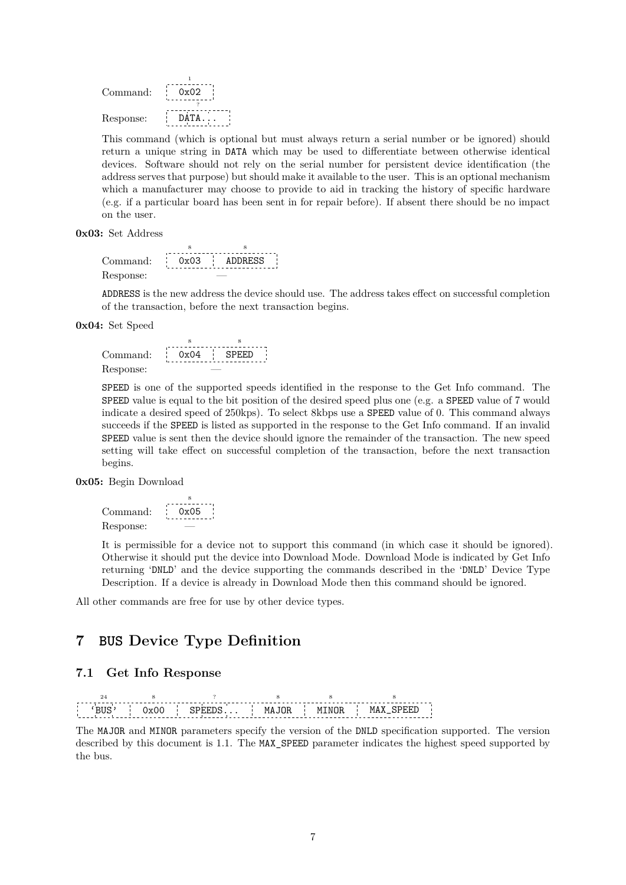| Command:  | 0x02        |
|-----------|-------------|
|           |             |
| Response: | <b>DATA</b> |

This command (which is optional but must always return a serial number or be ignored) should return a unique string in DATA which may be used to differentiate between otherwise identical devices. Software should not rely on the serial number for persistent device identification (the address serves that purpose) but should make it available to the user. This is an optional mechanism which a manufacturer may choose to provide to aid in tracking the history of specific hardware (e.g. if a particular board has been sent in for repair before). If absent there should be no impact on the user.

**0x03:** Set Address

Command: 0x03 8 ADDRESS 8 Response:

ADDRESS is the new address the device should use. The address takes effect on successful completion of the transaction, before the next transaction begins.

**0x04:** Set Speed

Command: 0x04 8 SPEED 8 Response:

SPEED is one of the supported speeds identified in the response to the Get Info command. The SPEED value is equal to the bit position of the desired speed plus one (e.g. a SPEED value of 7 would indicate a desired speed of 250kps). To select 8kbps use a SPEED value of 0. This command always succeeds if the SPEED is listed as supported in the response to the Get Info command. If an invalid SPEED value is sent then the device should ignore the remainder of the transaction. The new speed setting will take effect on successful completion of the transaction, before the next transaction begins.

**0x05:** Begin Download

Command:  $0x05$ 8 Response:

It is permissible for a device not to support this command (in which case it should be ignored). Otherwise it should put the device into Download Mode. Download Mode is indicated by Get Info returning 'DNLD' and the device supporting the commands described in the 'DNLD' Device Type Description. If a device is already in Download Mode then this command should be ignored.

All other commands are free for use by other device types.

### <span id="page-6-0"></span>**7 BUS Device Type Definition**

### **7.1 Get Info Response**



The MAJOR and MINOR parameters specify the version of the DNLD specification supported. The version described by this document is 1.1. The MAX\_SPEED parameter indicates the highest speed supported by the bus.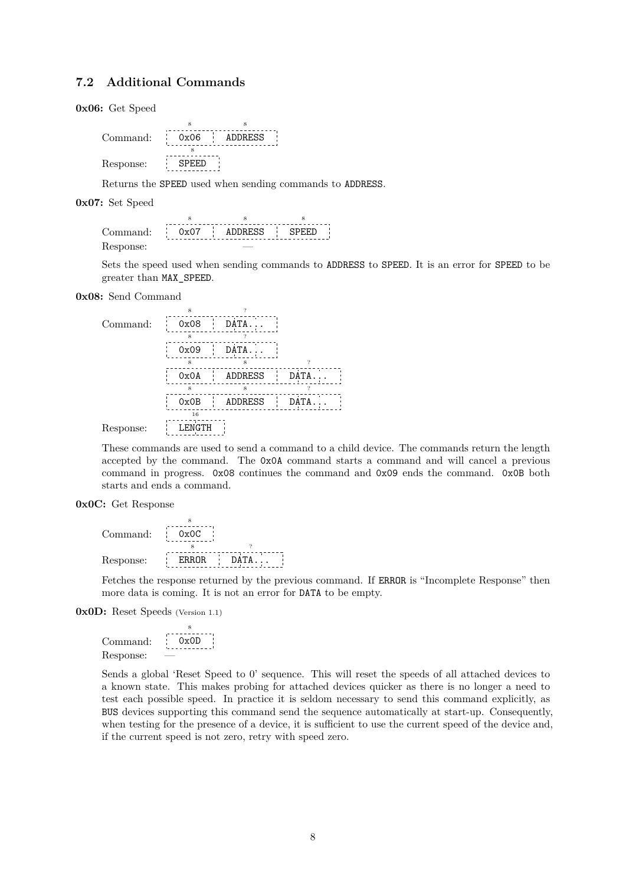#### **7.2 Additional Commands**

**0x06:** Get Speed

| Command:  | \n $\begin{array}{r}\n 0x06 \\  \hline\n 0x06\n \end{array}$ \n | ADDRESS |
|-----------|-----------------------------------------------------------------|---------|
| Response: | \n $\begin{array}{r}\n 0x06 \\  \hline\n 0x06\n \end{array}$ \n |         |

Returns the SPEED used when sending commands to ADDRESS.

**0x07:** Set Speed

8 8 8 SPEED ADDRESS Command: 0x07  $\frac{1}{4}$ Response:

Sets the speed used when sending commands to ADDRESS to SPEED. It is an error for SPEED to be greater than MAX\_SPEED.

**0x08:** Send Command

|           | 8             |             |             |  |
|-----------|---------------|-------------|-------------|--|
| Command:  | 0x08          | T.<br>DATA. |             |  |
|           | я             |             |             |  |
|           | 0x09          | DATA.       |             |  |
|           | 8             | 8           | 2           |  |
|           | 0x0A          | ADDRESS     | <b>DATA</b> |  |
|           | я             | 8           |             |  |
|           | 0x0B          | ADDRESS     | DATA        |  |
|           | 16            |             |             |  |
| Response: | <b>LENGTH</b> |             |             |  |

These commands are used to send a command to a child device. The commands return the length accepted by the command. The 0x0A command starts a command and will cancel a previous command in progress. 0x08 continues the command and 0x09 ends the command. 0x0B both starts and ends a command.

#### **0x0C:** Get Response

| Command:  | 0x0C         |      |
|-----------|--------------|------|
|           |              |      |
| Response: | <b>ERROR</b> | DATA |

Fetches the response returned by the previous command. If ERROR is "Incomplete Response" then more data is coming. It is not an error for DATA to be empty.

**0x0D:** Reset Speeds (Version 1.1)

```
Command:
          0x0D8
Response:
```
Sends a global 'Reset Speed to 0' sequence. This will reset the speeds of all attached devices to a known state. This makes probing for attached devices quicker as there is no longer a need to test each possible speed. In practice it is seldom necessary to send this command explicitly, as BUS devices supporting this command send the sequence automatically at start-up. Consequently, when testing for the presence of a device, it is sufficient to use the current speed of the device and, if the current speed is not zero, retry with speed zero.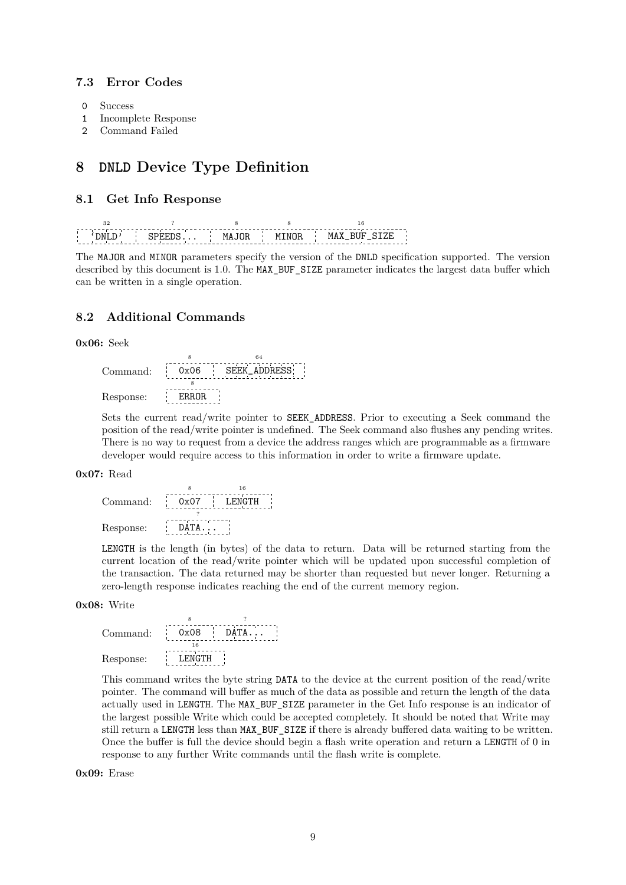### **7.3 Error Codes**

- 0 Success
- 1 Incomplete Response
- 2 Command Failed

## **8 DNLD Device Type Definition**

#### **8.1 Get Info Response**

| 1NI. | Į. | M | M |
|------|----|---|---|

The MAJOR and MINOR parameters specify the version of the DNLD specification supported. The version described by this document is 1.0. The MAX\_BUF\_SIZE parameter indicates the largest data buffer which can be written in a single operation.

### **8.2 Additional Commands**



|           |        | 64                  |
|-----------|--------|---------------------|
| Command:  | 0x06   | <b>SEEK ADDRESS</b> |
|           |        |                     |
| Response: | ERROR. |                     |

Sets the current read/write pointer to SEEK\_ADDRESS. Prior to executing a Seek command the position of the read/write pointer is undefined. The Seek command also flushes any pending writes. There is no way to request from a device the address ranges which are programmable as a firmware developer would require access to this information in order to write a firmware update.

#### **0x07:** Read

Command: 0x07 8 LENGTH 16 Response: DATA... ?

LENGTH is the length (in bytes) of the data to return. Data will be returned starting from the current location of the read/write pointer which will be updated upon successful completion of the transaction. The data returned may be shorter than requested but never longer. Returning a zero-length response indicates reaching the end of the current memory region.

#### **0x08:** Write

| Command:  | 0x08   | DATA. |
|-----------|--------|-------|
|           |        |       |
| Response: | LENGTH |       |

This command writes the byte string DATA to the device at the current position of the read/write pointer. The command will buffer as much of the data as possible and return the length of the data actually used in LENGTH. The MAX\_BUF\_SIZE parameter in the Get Info response is an indicator of the largest possible Write which could be accepted completely. It should be noted that Write may still return a LENGTH less than MAX\_BUF\_SIZE if there is already buffered data waiting to be written. Once the buffer is full the device should begin a flash write operation and return a LENGTH of 0 in response to any further Write commands until the flash write is complete.

**0x09:** Erase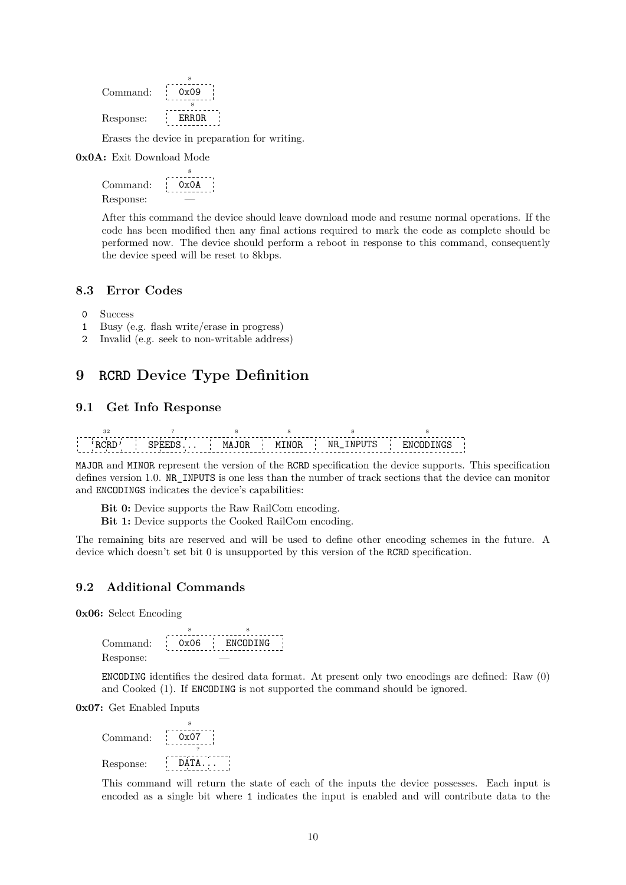| Command:  | 0x09      |
|-----------|-----------|
|           |           |
| Response: | F.R.R.OR. |

Erases the device in preparation for writing.

**0x0A:** Exit Download Mode

Command: 0x0A 8 Response: —

After this command the device should leave download mode and resume normal operations. If the code has been modified then any final actions required to mark the code as complete should be performed now. The device should perform a reboot in response to this command, consequently the device speed will be reset to 8kbps.

#### **8.3 Error Codes**

- 0 Success
- 1 Busy (e.g. flash write/erase in progress)
- 2 Invalid (e.g. seek to non-writable address)

### **9 RCRD Device Type Definition**

#### **9.1 Get Info Response**

'RCRD' 32 SPEEDS. ? MAJOR 8 MINOR 8 NR\_INPUTS 8 ENCODINGS 8

MAJOR and MINOR represent the version of the RCRD specification the device supports. This specification defines version 1.0. NR\_INPUTS is one less than the number of track sections that the device can monitor and ENCODINGS indicates the device's capabilities:

**Bit 0:** Device supports the Raw RailCom encoding.

**Bit 1:** Device supports the Cooked RailCom encoding.

The remaining bits are reserved and will be used to define other encoding schemes in the future. A device which doesn't set bit 0 is unsupported by this version of the RCRD specification.

#### **9.2 Additional Commands**

**0x06:** Select Encoding

Command: 0x06 8 ENCODING 8 Response:

ENCODING identifies the desired data format. At present only two encodings are defined: Raw (0) and Cooked (1). If ENCODING is not supported the command should be ignored.

**0x07:** Get Enabled Inputs

| Command:  | 0x07  |
|-----------|-------|
|           |       |
| Response: | DATA. |

This command will return the state of each of the inputs the device possesses. Each input is encoded as a single bit where 1 indicates the input is enabled and will contribute data to the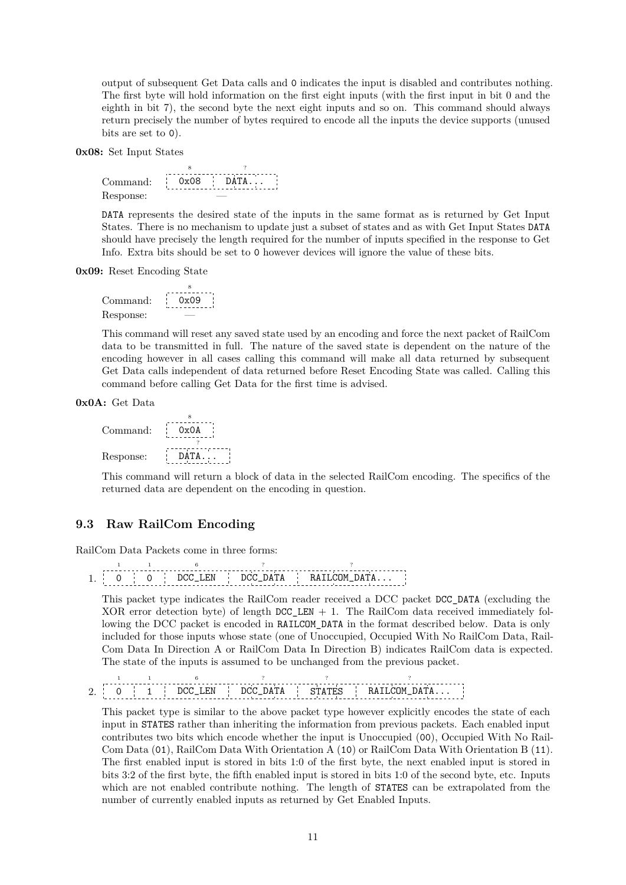output of subsequent Get Data calls and 0 indicates the input is disabled and contributes nothing. The first byte will hold information on the first eight inputs (with the first input in bit 0 and the eighth in bit 7), the second byte the next eight inputs and so on. This command should always return precisely the number of bytes required to encode all the inputs the device supports (unused bits are set to 0).

**0x08:** Set Input States



DATA represents the desired state of the inputs in the same format as is returned by Get Input States. There is no mechanism to update just a subset of states and as with Get Input States DATA should have precisely the length required for the number of inputs specified in the response to Get Info. Extra bits should be set to 0 however devices will ignore the value of these bits.

**0x09:** Reset Encoding State



This command will reset any saved state used by an encoding and force the next packet of RailCom data to be transmitted in full. The nature of the saved state is dependent on the nature of the encoding however in all cases calling this command will make all data returned by subsequent Get Data calls independent of data returned before Reset Encoding State was called. Calling this command before calling Get Data for the first time is advised.

**0x0A:** Get Data



This command will return a block of data in the selected RailCom encoding. The specifics of the returned data are dependent on the encoding in question.

#### **9.3 Raw RailCom Encoding**

RailCom Data Packets come in three forms:

|  |  |  |  | $\cdots$<br>----- | 'ІM<br>------ |  |
|--|--|--|--|-------------------|---------------|--|

This packet type indicates the RailCom reader received a DCC packet DCC\_DATA (excluding the XOR error detection byte) of length  $DCC$ <sub>LEN</sub> + 1. The RailCom data received immediately following the DCC packet is encoded in RAILCOM DATA in the format described below. Data is only included for those inputs whose state (one of Unoccupied, Occupied With No RailCom Data, Rail-Com Data In Direction A or RailCom Data In Direction B) indicates RailCom data is expected. The state of the inputs is assumed to be unchanged from the previous packet.

 $2. 0$ 1 1 1 DCC\_LEN 6 DCC\_DATA ? STATES ? RAILCOM\_DATA... ?

This packet type is similar to the above packet type however explicitly encodes the state of each input in STATES rather than inheriting the information from previous packets. Each enabled input contributes two bits which encode whether the input is Unoccupied (00), Occupied With No Rail-Com Data (01), RailCom Data With Orientation A (10) or RailCom Data With Orientation B (11). The first enabled input is stored in bits 1:0 of the first byte, the next enabled input is stored in bits 3:2 of the first byte, the fifth enabled input is stored in bits 1:0 of the second byte, etc. Inputs which are not enabled contribute nothing. The length of STATES can be extrapolated from the number of currently enabled inputs as returned by Get Enabled Inputs.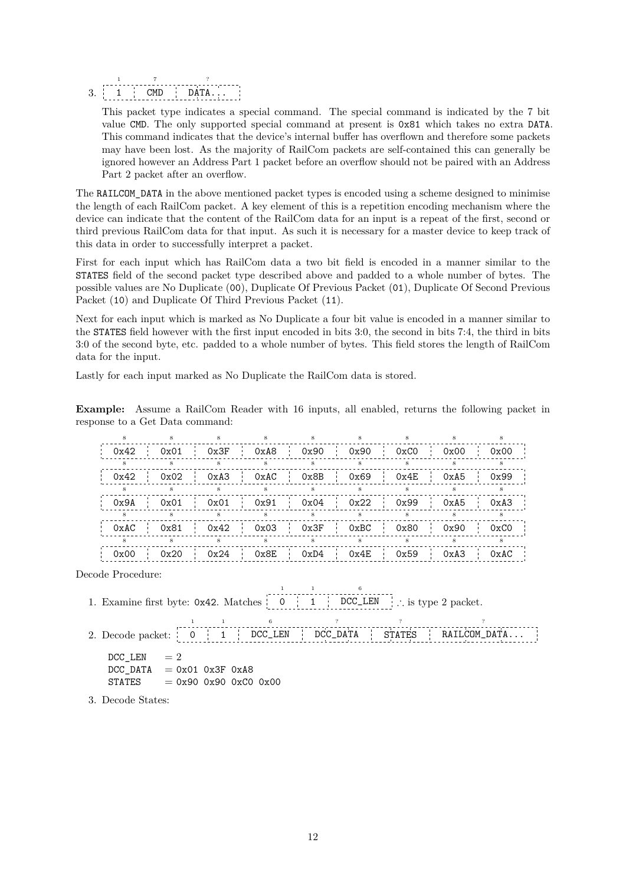3. 1 1 CMD 7 DATA... ?

This packet type indicates a special command. The special command is indicated by the 7 bit value CMD. The only supported special command at present is 0x81 which takes no extra DATA. This command indicates that the device's internal buffer has overflown and therefore some packets may have been lost. As the majority of RailCom packets are self-contained this can generally be ignored however an Address Part 1 packet before an overflow should not be paired with an Address Part 2 packet after an overflow.

The RAILCOM\_DATA in the above mentioned packet types is encoded using a scheme designed to minimise the length of each RailCom packet. A key element of this is a repetition encoding mechanism where the device can indicate that the content of the RailCom data for an input is a repeat of the first, second or third previous RailCom data for that input. As such it is necessary for a master device to keep track of this data in order to successfully interpret a packet.

First for each input which has RailCom data a two bit field is encoded in a manner similar to the STATES field of the second packet type described above and padded to a whole number of bytes. The possible values are No Duplicate (00), Duplicate Of Previous Packet (01), Duplicate Of Second Previous Packet (10) and Duplicate Of Third Previous Packet (11).

Next for each input which is marked as No Duplicate a four bit value is encoded in a manner similar to the STATES field however with the first input encoded in bits 3:0, the second in bits 7:4, the third in bits 3:0 of the second byte, etc. padded to a whole number of bytes. This field stores the length of RailCom data for the input.

Lastly for each input marked as No Duplicate the RailCom data is stored.

**Example:** Assume a RailCom Reader with 16 inputs, all enabled, returns the following packet in response to a Get Data command:

| 0x42 | 0x01 | 0x3F | 0xA8 |                 | 0x90 |              | 0x90 | 0xC0 | 0x00 | 0x00 |  |
|------|------|------|------|-----------------|------|--------------|------|------|------|------|--|
|      |      |      |      |                 |      |              |      |      |      |      |  |
| 0x42 | 0x02 | 0xA3 | 0xAC | $\sim 10^{-11}$ | 0x8B | $\mathbf{I}$ | 0x69 | 0x4E | 0xA5 | 0x99 |  |
|      |      |      |      |                 |      |              |      |      |      |      |  |
| 0x9A | 0x01 | 0x01 | 0x91 | - i i           | 0x04 |              | 0x22 | 0x99 | 0xA5 | 0xA3 |  |
|      |      |      |      |                 |      |              |      |      |      |      |  |
| 0xAC | 0x81 | 0x42 | 0x03 |                 | 0x3F |              | 0xBC | 0x80 | 0x90 | 0xC0 |  |
| 8    |      |      |      |                 |      |              |      |      |      |      |  |
| 0x00 | 0x20 | 0x24 | 0x8E |                 | 0xD4 |              | 0x4E | 0x59 | 0xA3 | 0xAC |  |

Decode Procedure:

1. Examine first byte: 0x42. Matches 0 1 1 DCC\_LEN ∴ is type 2 packet.

|                                   |  |  | 6                       |  |  |                                                                      |  |
|-----------------------------------|--|--|-------------------------|--|--|----------------------------------------------------------------------|--|
|                                   |  |  |                         |  |  | 2. Decode packet: 0   1   DCC_LEN   DCC_DATA   STATES   RAILCOM_DATA |  |
| DCC LEN $=2$                      |  |  |                         |  |  |                                                                      |  |
| $DCC$ DATA = $0x01$ $0x3F$ $0xA8$ |  |  |                         |  |  |                                                                      |  |
| STATES                            |  |  | $= 0x90 0x90 0xC0 0x00$ |  |  |                                                                      |  |

1

6

3. Decode States: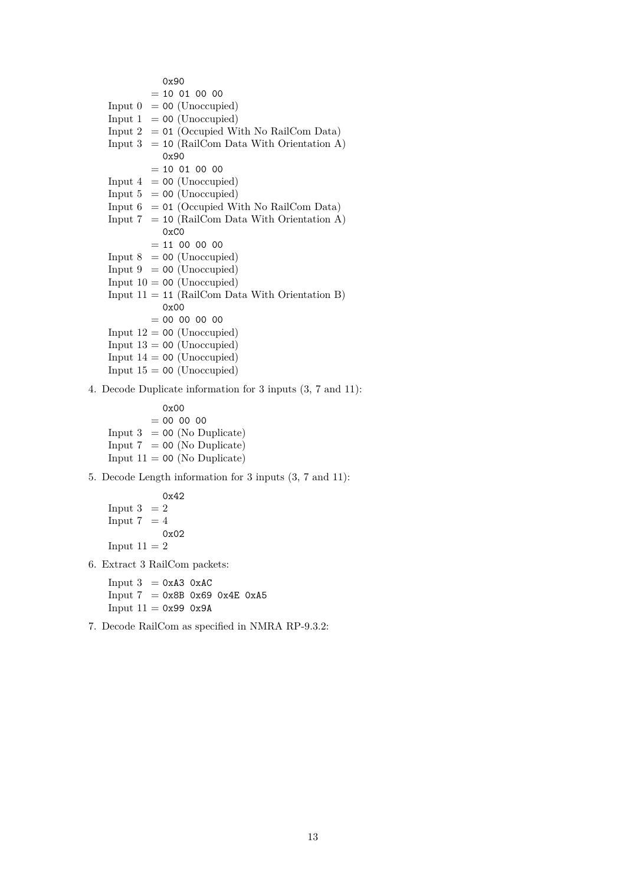0x90  $= 10 01 00 00$ Input  $0 = 00$  (Unoccupied) Input  $1 = 00$  (Unoccupied) Input  $2 = 01$  (Occupied With No RailCom Data) Input  $3 = 10$  (RailCom Data With Orientation A) 0x90  $= 10 01 00 00$ Input  $4 = 00$  (Unoccupied) Input  $5 = 00$  (Unoccupied) Input  $6 = 01$  (Occupied With No RailCom Data) Input  $7 = 10$  (RailCom Data With Orientation A) 0xC0  $= 11 00 00 00$ Input  $8 = 00$  (Unoccupied) Input  $9 = 00$  (Unoccupied) Input  $10 = 00$  (Unoccupied) Input  $11 = 11$  (RailCom Data With Orientation B) 0x00  $= 00 00 00 00$ Input  $12 = 00$  (Unoccupied) Input  $13 = 00$  (Unoccupied) Input  $14 = 00$  (Unoccupied) Input  $15 = 00$  (Unoccupied)

4. Decode Duplicate information for 3 inputs (3, 7 and 11):

0x00  $= 00 00 00$ Input  $3 = 00$  (No Duplicate) Input  $7 = 00$  (No Duplicate) Input  $11 = 00$  (No Duplicate)

5. Decode Length information for 3 inputs (3, 7 and 11):

$$
0x42
$$
  
Input 3 = 2  
Input 7 = 4  

$$
0x02
$$
  
Input 11 = 2

6. Extract 3 RailCom packets:

Input  $3 = 0 \times A3$  0xAC  $Input 7 = 0x8B 0x69 0x4E 0xA5$ Input  $11 = 0x99 0x9A$ 

7. Decode RailCom as specified in NMRA RP-9.3.2: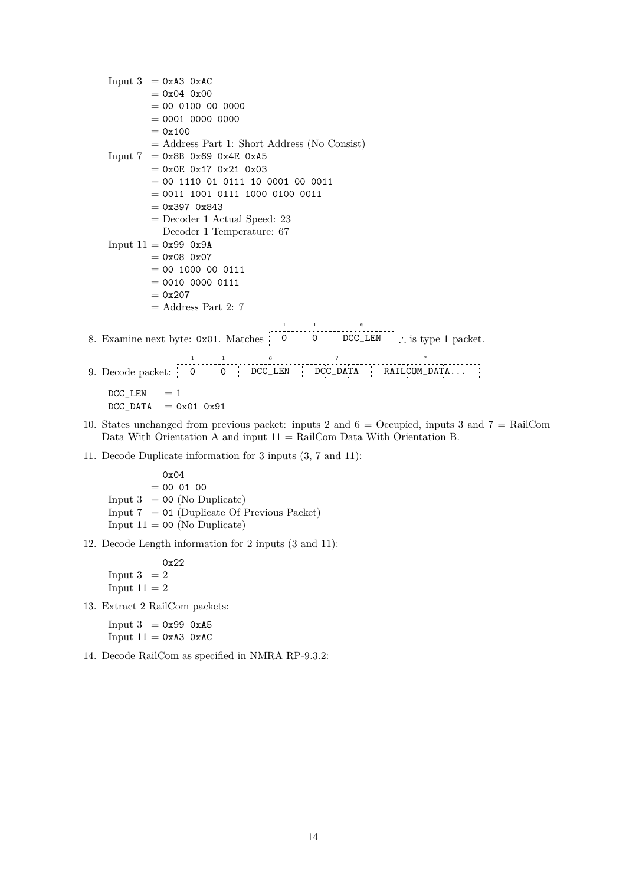Input  $3 = 0 \times A3$  0xAC  $= 0x04 0x00$  $= 00 0100 00 0000$  $= 0001 0000 0000$  $= 0x100$ = Address Part 1: Short Address (No Consist)  $Input 7 = 0x8B 0x69 0x4E 0xA5$  $= 0x0E 0x17 0x21 0x03$  $= 00 1110 01 0111 10 0001 00 0011$  $= 0011$  1001 0111 1000 0100 0011  $= 0x397 0x843$ = Decoder 1 Actual Speed: 23 Decoder 1 Temperature: 67 Input  $11 = 0x99 0x9A$  $= 0x08 0x07$  $= 00 1000 00 0111$  $= 0010 0000 0111$  $= 0x207$  $=$  Address Part 2: 7 1 1 6 8. Examine next byte: 0x01. Matches 0 0 DCC\_LEN ∴ is type 1 packet. ÷. 1 1 6 ? ? 9. Decode packet: 0 0 DCC\_LEN DCC\_DATA RAILCOM\_DATA...  $DCC$ <sub>LEN</sub> = 1  $DCC\_DATA$  = 0x01 0x91

- 10. States unchanged from previous packet: inputs 2 and 6 = Occupied, inputs 3 and 7 = RailCom Data With Orientation A and input  $11 = \text{RailCom}$  Data With Orientation B.
- 11. Decode Duplicate information for 3 inputs (3, 7 and 11):

0x04  $= 00 01 00$ Input  $3 = 00$  (No Duplicate) Input  $7 = 01$  (Duplicate Of Previous Packet) Input  $11 = 00$  (No Duplicate)

12. Decode Length information for 2 inputs (3 and 11):

0x22 Input  $3 = 2$ Input  $11 = 2$ 

13. Extract 2 RailCom packets:

Input  $3 = 0x990xA5$ Input  $11 = 0xA3 0xAC$ 

14. Decode RailCom as specified in NMRA RP-9.3.2: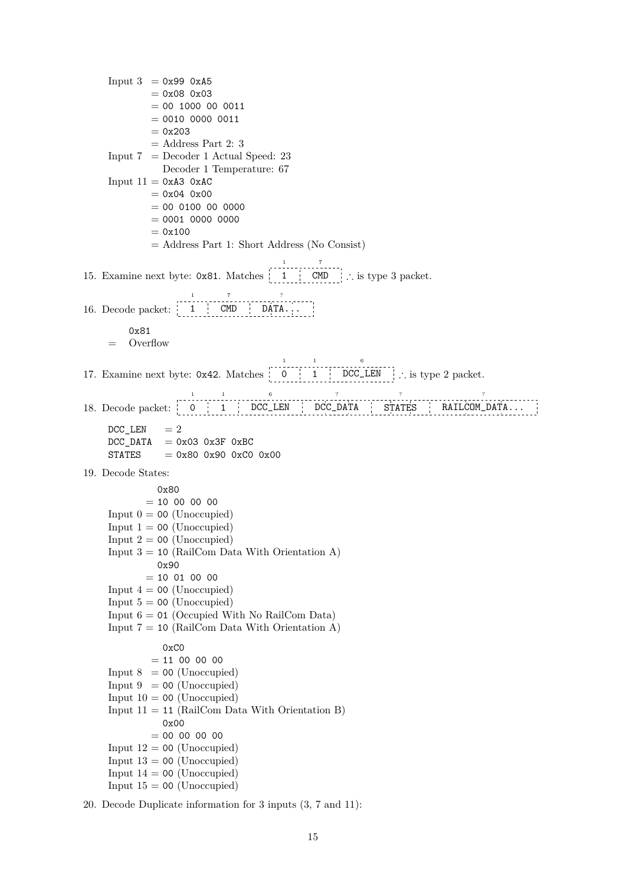Input  $3 = 0x990xA5$  $= 0x08 0x03$  $= 00 1000 00 0011$  $= 0010 0000 0011$  $= 0x203$  $=$  Address Part 2: 3 Input  $7 =$  Decoder 1 Actual Speed: 23 Decoder 1 Temperature: 67 Input  $11 = 0xA3 0xAC$  $= 0x04 0x00$  $= 00 0100 00 0000$  $= 0001 0000 0000$  $= 0x100$ = Address Part 1: Short Address (No Consist) 15. Examine next byte: 0x81. Matches 1 1 CMD 7 ∴ is type 3 packet. 16. Decode packet: 1 1 **CMD** 7 DATA... ? 0x81 = Overflow 17. Examine next byte: 0x42. Matches 0 1 1 1 DCC\_LEN ∴ is type 2 packet. 6 18. Decode packet: 0 | 1 | DCC\_LEN | DCC\_DATA | STATES | RAILCOM\_DATA... 1 1 6 ? ? ?  $DCC$ <sub>LEN</sub> = 2  $DCC_DATA = 0x03 0x3F 0xBC$  $STATES = 0x80 0x90 0xC0 0x00$ 19. Decode States: 0x80  $= 10,00,00,00$ Input  $0 = 00$  (Unoccupied) Input  $1 = 00$  (Unoccupied) Input  $2 = 00$  (Unoccupied) Input  $3 = 10$  (RailCom Data With Orientation A) 0x90  $= 10 01 00 00$ Input  $4 = 00$  (Unoccupied) Input  $5 = 00$  (Unoccupied) Input  $6 = 01$  (Occupied With No RailCom Data) Input  $7 = 10$  (RailCom Data With Orientation A) 0xC0  $= 11 00 00 00$ Input  $8 = 00$  (Unoccupied) Input  $9 = 00$  (Unoccupied) Input  $10 = 00$  (Unoccupied) Input  $11 = 11$  (RailCom Data With Orientation B) 0x00  $= 00 00 00 00$ Input  $12 = 00$  (Unoccupied) Input  $13 = 00$  (Unoccupied) Input  $14 = 00$  (Unoccupied) Input  $15 = 00$  (Unoccupied)

20. Decode Duplicate information for 3 inputs (3, 7 and 11):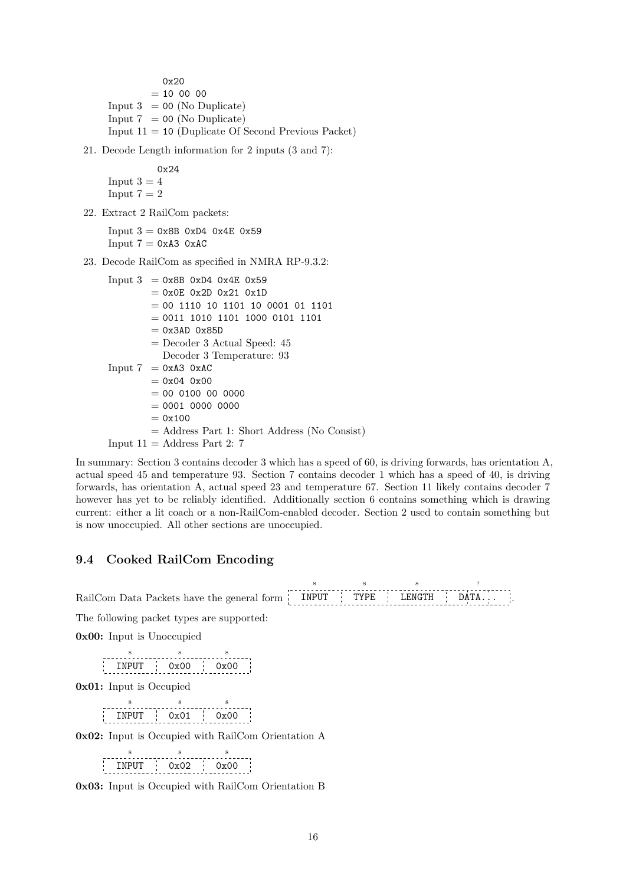0x20  $= 10 00 00$ Input  $3 = 00$  (No Duplicate) Input  $7 = 00$  (No Duplicate) Input  $11 = 10$  (Duplicate Of Second Previous Packet)

21. Decode Length information for 2 inputs (3 and 7):

0x24 Input  $3 = 4$ Input  $7 = 2$ 

22. Extract 2 RailCom packets:

 $Input 3 = 0x8B 0xD4 0x4E 0x59$ Input  $7 = 0xA3$   $0xAC$ 

23. Decode RailCom as specified in NMRA RP-9.3.2:

```
Input 3 = 0x8B 0xD4 0x4E 0x59= 0x0E 0x2D 0x21 0x1D
        = 00 1110 10 1101 10 0001 01 1101= 0011 1010 1101 1000 0101 1101= 0x3AD 0x85D= Decoder 3 Actual Speed: 45Decoder 3 Temperature: 93
Input 7 = 0 \times A3 0xAC
        = 0x04 0x00= 00 0100 00 0000= 0001 0000 0000= 0x100= Address Part 1: Short Address (No Consist)
Input 11 = Address Part 2: 7
```
In summary: Section 3 contains decoder 3 which has a speed of 60, is driving forwards, has orientation A, actual speed 45 and temperature 93. Section 7 contains decoder 1 which has a speed of 40, is driving forwards, has orientation A, actual speed 23 and temperature 67. Section 11 likely contains decoder 7 however has yet to be reliably identified. Additionally section 6 contains something which is drawing current: either a lit coach or a non-RailCom-enabled decoder. Section 2 used to contain something but is now unoccupied. All other sections are unoccupied.

.

### **9.4 Cooked RailCom Encoding**

| RailCom Data Packets have the general form TIPUT TYPE LENGTH DATA |  |  |
|-------------------------------------------------------------------|--|--|

The following packet types are supported:

**0x00:** Input is Unoccupied

INPUT 8  $0x00$ 8 0x00 8

**0x01:** Input is Occupied

8 8 8 INPUT 0x01 0x00 . J 古り

**0x02:** Input is Occupied with RailCom Orientation A

INPUT 0x02 0x00 8  $8 - 8$ 8

**0x03:** Input is Occupied with RailCom Orientation B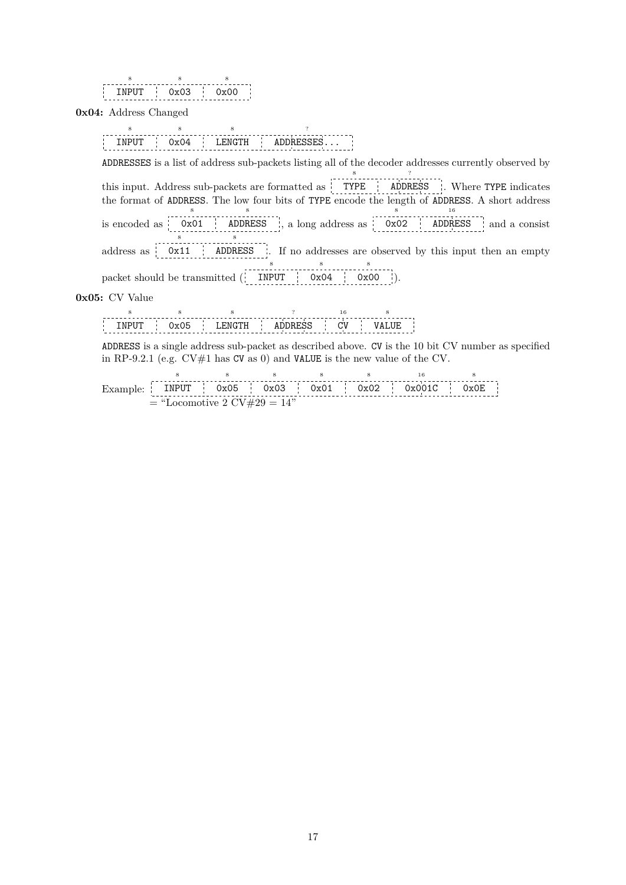| ווום -<br>ı | צו<br><b>Contract</b> | ) ( )<br>٠ |
|-------------|-----------------------|------------|
|             |                       |            |

**0x04:** Address Changed

INPUT 8 0x04 8 LENGTH 8 ADDRESSES... ?

ADDRESSES is a list of address sub-packets listing all of the decoder addresses currently observed by this input. Address sub-packets are formatted as TYPE 8 ADDRESS ? . Where TYPE indicates

the format of ADDRESS. The low four bits of TYPE encode the length of ADDRESS. A short address is encoded as 0x01 8 ADDRESS 8 , a long address as 0x02 8 ADDRESS 16 and a consist

8 8

address as 0x11 ADDRESS I. If no addresses are observed by this input then an empty 8 8 8

packet should be transmitted ( INPUT 0x04 0x00 ).

**0x05:** CV Value

|  |  |  | . |  |
|--|--|--|---|--|

ADDRESS is a single address sub-packet as described above. CV is the 10 bit CV number as specified in RP-9.2.1 (e.g.  $CV#1$  has CV as 0) and VALUE is the new value of the CV.

Example: INPUT 8 0x05 8 0x03 8 0x01 8 0x02 8 0x001C 16 0x0E 8  $=$  "Locomotive 2 CV#29  $= 14"$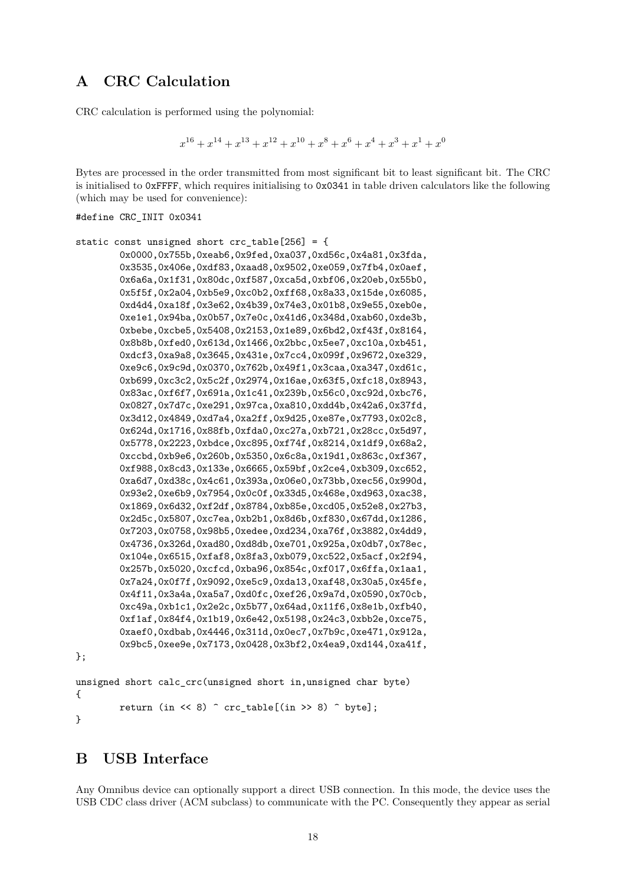## <span id="page-17-0"></span>**A CRC Calculation**

CRC calculation is performed using the polynomial:

```
x^{16} + x^{14} + x^{13} + x^{12} + x^{10} + x^8 + x^6 + x^4 + x^3 + x^1 + x^0
```
Bytes are processed in the order transmitted from most significant bit to least significant bit. The CRC is initialised to 0xFFFF, which requires initialising to 0x0341 in table driven calculators like the following (which may be used for convenience):

```
#define CRC_INIT 0x0341
```

```
static const unsigned short crc table[256] = {
        0x0000,0x755b,0xeab6,0x9fed,0xa037,0xd56c,0x4a81,0x3fda,
        0x3535,0x406e,0xdf83,0xaad8,0x9502,0xe059,0x7fb4,0x0aef,
        0x6a6a,0x1f31,0x80dc,0xf587,0xca5d,0xbf06,0x20eb,0x55b0,
        0x5f5f,0x2a04,0xb5e9,0xc0b2,0xff68,0x8a33,0x15de,0x6085,
        0xd4d4,0xa18f,0x3e62,0x4b39,0x74e3,0x01b8,0x9e55,0xeb0e,
        0xe1e1,0x94ba,0x0b57,0x7e0c,0x41d6,0x348d,0xab60,0xde3b,
        0xbebe,0xcbe5,0x5408,0x2153,0x1e89,0x6bd2,0xf43f,0x8164,
        0x8b8b,0xfed0,0x613d,0x1466,0x2bbc,0x5ee7,0xc10a,0xb451,
        0xdcf3,0xa9a8,0x3645,0x431e,0x7cc4,0x099f,0x9672,0xe329,
        0xe9c6,0x9c9d,0x0370,0x762b,0x49f1,0x3caa,0xa347,0xd61c,
        0xb699,0xc3c2,0x5c2f,0x2974,0x16ae,0x63f5,0xfc18,0x8943,
        0x83ac,0xf6f7,0x691a,0x1c41,0x239b,0x56c0,0xc92d,0xbc76,
        0x0827,0x7d7c,0xe291,0x97ca,0xa810,0xdd4b,0x42a6,0x37fd,
        0x3d12,0x4849,0xd7a4,0xa2ff,0x9d25,0xe87e,0x7793,0x02c8,
        0x624d,0x1716,0x88fb,0xfda0,0xc27a,0xb721,0x28cc,0x5d97,
        0x5778,0x2223,0xbdce,0xc895,0xf74f,0x8214,0x1df9,0x68a2,
        0xccbd,0xb9e6,0x260b,0x5350,0x6c8a,0x19d1,0x863c,0xf367,
        0xf988,0x8cd3,0x133e,0x6665,0x59bf,0x2ce4,0xb309,0xc652,
        0xa6d7,0xd38c,0x4c61,0x393a,0x06e0,0x73bb,0xec56,0x990d,
        0x93e2,0xe6b9,0x7954,0x0c0f,0x33d5,0x468e,0xd963,0xac38,
        0x1869,0x6d32,0xf2df,0x8784,0xb85e,0xcd05,0x52e8,0x27b3,
        0x2d5c,0x5807,0xc7ea,0xb2b1,0x8d6b,0xf830,0x67dd,0x1286,
        0x7203,0x0758,0x98b5,0xedee,0xd234,0xa76f,0x3882,0x4dd9,
        0x4736,0x326d,0xad80,0xd8db,0xe701,0x925a,0x0db7,0x78ec,
        0x104e,0x6515,0xfaf8,0x8fa3,0xb079,0xc522,0x5acf,0x2f94,
        0x257b,0x5020,0xcfcd,0xba96,0x854c,0xf017,0x6ffa,0x1aa1,
        0x7a24,0x0f7f,0x9092,0xe5c9,0xda13,0xaf48,0x30a5,0x45fe,
        0x4f11,0x3a4a,0xa5a7,0xd0fc,0xef26,0x9a7d,0x0590,0x70cb,
        0xc49a,0xb1c1,0x2e2c,0x5b77,0x64ad,0x11f6,0x8e1b,0xfb40,
        0xf1af,0x84f4,0x1b19,0x6e42,0x5198,0x24c3,0xbb2e,0xce75,
        0xaef0,0xdbab,0x4446,0x311d,0x0ec7,0x7b9c,0xe471,0x912a,
        0x9bc5,0xee9e,0x7173,0x0428,0x3bf2,0x4ea9,0xd144,0xa41f,
};
unsigned short calc_crc(unsigned short in,unsigned char byte)
{
        return (in \langle \langle 8 \rangle \hat{C} crc table[(in >> 8) \hat{C} byte];
```
}

## **B USB Interface**

Any Omnibus device can optionally support a direct USB connection. In this mode, the device uses the USB CDC class driver (ACM subclass) to communicate with the PC. Consequently they appear as serial